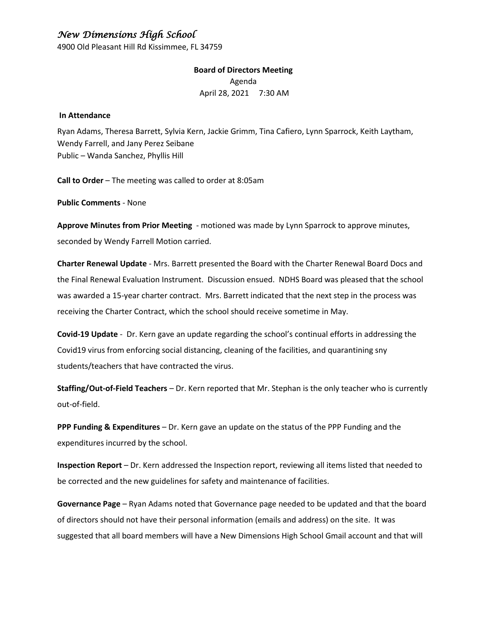## *New Dimensions High School*

4900 Old Pleasant Hill Rd Kissimmee, FL 34759

**Board of Directors Meeting** Agenda April 28, 2021 7:30 AM

#### **In Attendance**

Ryan Adams, Theresa Barrett, Sylvia Kern, Jackie Grimm, Tina Cafiero, Lynn Sparrock, Keith Laytham, Wendy Farrell, and Jany Perez Seibane Public – Wanda Sanchez, Phyllis Hill

**Call to Order** – The meeting was called to order at 8:05am

**Public Comments** - None

**Approve Minutes from Prior Meeting** - motioned was made by Lynn Sparrock to approve minutes, seconded by Wendy Farrell Motion carried.

**Charter Renewal Update** - Mrs. Barrett presented the Board with the Charter Renewal Board Docs and the Final Renewal Evaluation Instrument. Discussion ensued. NDHS Board was pleased that the school was awarded a 15-year charter contract. Mrs. Barrett indicated that the next step in the process was receiving the Charter Contract, which the school should receive sometime in May.

**Covid-19 Update** - Dr. Kern gave an update regarding the school's continual efforts in addressing the Covid19 virus from enforcing social distancing, cleaning of the facilities, and quarantining sny students/teachers that have contracted the virus.

**Staffing/Out-of-Field Teachers** – Dr. Kern reported that Mr. Stephan is the only teacher who is currently out-of-field.

**PPP Funding & Expenditures** – Dr. Kern gave an update on the status of the PPP Funding and the expenditures incurred by the school.

**Inspection Report** – Dr. Kern addressed the Inspection report, reviewing all items listed that needed to be corrected and the new guidelines for safety and maintenance of facilities.

**Governance Page** – Ryan Adams noted that Governance page needed to be updated and that the board of directors should not have their personal information (emails and address) on the site. It was suggested that all board members will have a New Dimensions High School Gmail account and that will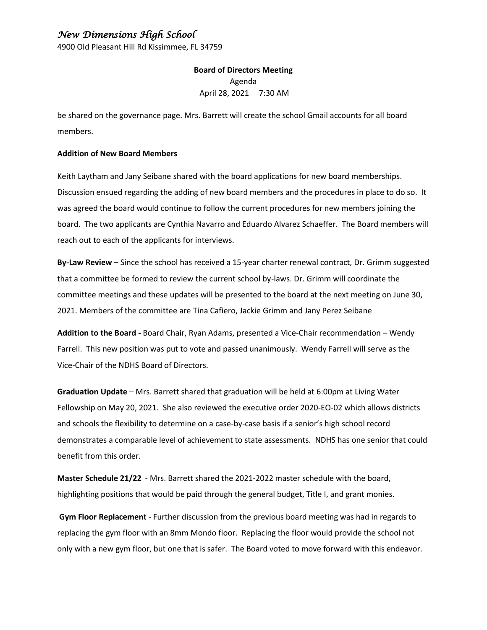## *New Dimensions High School*

4900 Old Pleasant Hill Rd Kissimmee, FL 34759

**Board of Directors Meeting** Agenda April 28, 2021 7:30 AM

be shared on the governance page. Mrs. Barrett will create the school Gmail accounts for all board members.

#### **Addition of New Board Members**

Keith Laytham and Jany Seibane shared with the board applications for new board memberships. Discussion ensued regarding the adding of new board members and the procedures in place to do so. It was agreed the board would continue to follow the current procedures for new members joining the board. The two applicants are Cynthia Navarro and Eduardo Alvarez Schaeffer. The Board members will reach out to each of the applicants for interviews.

**By-Law Review** – Since the school has received a 15-year charter renewal contract, Dr. Grimm suggested that a committee be formed to review the current school by-laws. Dr. Grimm will coordinate the committee meetings and these updates will be presented to the board at the next meeting on June 30, 2021. Members of the committee are Tina Cafiero, Jackie Grimm and Jany Perez Seibane

**Addition to the Board -** Board Chair, Ryan Adams, presented a Vice-Chair recommendation – Wendy Farrell. This new position was put to vote and passed unanimously. Wendy Farrell will serve as the Vice-Chair of the NDHS Board of Directors.

**Graduation Update** – Mrs. Barrett shared that graduation will be held at 6:00pm at Living Water Fellowship on May 20, 2021. She also reviewed the executive order 2020-EO-02 which allows districts and schools the flexibility to determine on a case-by-case basis if a senior's high school record demonstrates a comparable level of achievement to state assessments. NDHS has one senior that could benefit from this order.

**Master Schedule 21/22** - Mrs. Barrett shared the 2021-2022 master schedule with the board, highlighting positions that would be paid through the general budget, Title I, and grant monies.

**Gym Floor Replacement** - Further discussion from the previous board meeting was had in regards to replacing the gym floor with an 8mm Mondo floor. Replacing the floor would provide the school not only with a new gym floor, but one that is safer. The Board voted to move forward with this endeavor.